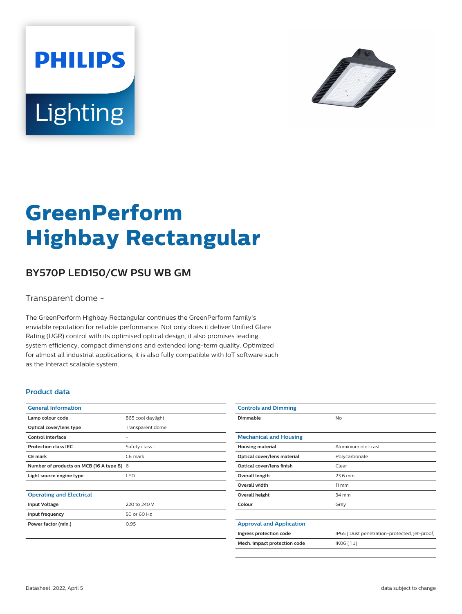



# **GreenPerform Highbay Rectangular**

## **BY570P LED150/CW PSU WB GM**

Transparent dome -

The GreenPerform Highbay Rectangular continues the GreenPerform family's enviable reputation for reliable performance. Not only does it deliver Unified Glare Rating (UGR) control with its optimised optical design, it also promises leading system efficiency, compact dimensions and extended long-term quality. Optimized for almost all industrial applications, it is also fully compatible with IoT software such as the Interact scalable system.

#### **Product data**

| <b>General Information</b>                |                   |
|-------------------------------------------|-------------------|
| Lamp colour code                          | 865 cool daylight |
| Optical cover/lens type                   | Transparent dome  |
| Control interface                         |                   |
| <b>Protection class IEC</b>               | Safety class I    |
| CF mark                                   | CE mark           |
| Number of products on MCB (16 A type B) 6 |                   |
| Light source engine type                  | LED.              |
|                                           |                   |
| <b>Operating and Electrical</b>           |                   |
| <b>Input Voltage</b>                      | 220 to 240 V      |
| Input frequency                           | 50 or 60 Hz       |
| Power factor (min.)                       | 0.95              |
|                                           |                   |

| <b>Controls and Dimming</b>     |                                               |
|---------------------------------|-----------------------------------------------|
| Dimmable                        | No                                            |
|                                 |                                               |
| <b>Mechanical and Housing</b>   |                                               |
| <b>Housing material</b>         | Aluminium die-cast                            |
| Optical cover/lens material     | Polycarbonate                                 |
| Optical cover/lens finish       | Clear                                         |
| Overall length                  | 23.6 mm                                       |
| Overall width                   | $11 \, \mathrm{mm}$                           |
| Overall height                  | 34 mm                                         |
| Colour                          | Grey                                          |
|                                 |                                               |
| <b>Approval and Application</b> |                                               |
| Ingress protection code         | IP65 [ Dust penetration-protected, jet-proof] |
| Mech. impact protection code    | IK06 [1J]                                     |
|                                 |                                               |